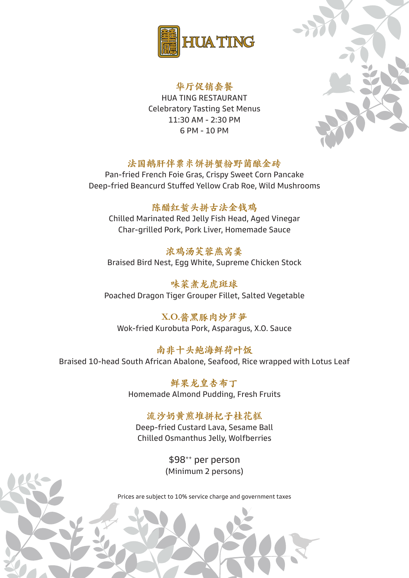

#### 华厅促销套餐

HUA TING RESTAURANT Celebratory Tasting Set Menus 11:30 AM - 2:30 PM 6 PM - 10 PM

## 法国鹅肝伴粟米饼拼蟹粉野菌酿金砖

Pan-fried French Foie Gras, Crispy Sweet Corn Pancake Deep-fried Beancurd Stuffed Yellow Crab Roe, Wild Mushrooms

### 陈醋红蜇头拼古法金钱鸡

Chilled Marinated Red Jelly Fish Head, Aged Vinegar Char-grilled Pork, Pork Liver, Homemade Sauce

浓鸡汤芙蓉燕窝羹 Braised Bird Nest, Egg White, Supreme Chicken Stock

味菜煮龙虎斑球 Poached Dragon Tiger Grouper Fillet, Salted Vegetable

X.O.酱黑豚肉炒芦笋 Wok-fried Kurobuta Pork, Asparagus, X.O. Sauce

南非十头鲍海鲜荷叶饭 Braised 10-head South African Abalone, Seafood, Rice wrapped with Lotus Leaf

> 鲜果龙皇杏布丁 Homemade Almond Pudding, Fresh Fruits

## 流沙奶黄煎堆拼杞子桂花糕

Deep-fried Custard Lava, Sesame Ball Chilled Osmanthus Jelly, Wolfberries

> \$98++ per person (Minimum 2 persons)

Prices are subject to 10% service charge and government taxes